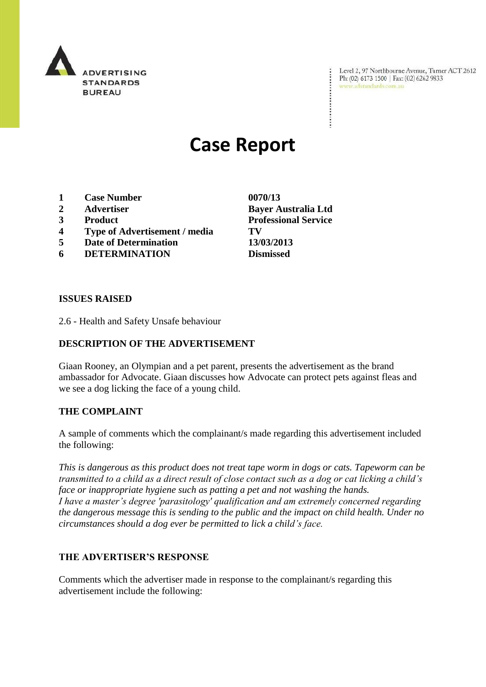

Level 2, 97 Northbourne Avenue, Turner ACT 2612 Ph: (02) 6173 1500 | Fax: (02) 6262 9833 www.adstandards.com.au

# **Case Report**

- **1 Case Number 0070/13**
- 
- 
- **4 Type of Advertisement / media TV**
- **5 Date of Determination 13/03/2013**
- **6 DETERMINATION Dismissed**

### **ISSUES RAISED**

2.6 - Health and Safety Unsafe behaviour

## **DESCRIPTION OF THE ADVERTISEMENT**

Giaan Rooney, an Olympian and a pet parent, presents the advertisement as the brand ambassador for Advocate. Giaan discusses how Advocate can protect pets against fleas and we see a dog licking the face of a young child.

#### **THE COMPLAINT**

A sample of comments which the complainant/s made regarding this advertisement included the following:

*This is dangerous as this product does not treat tape worm in dogs or cats. Tapeworm can be transmitted to a child as a direct result of close contact such as a dog or cat licking a child's face or inappropriate hygiene such as patting a pet and not washing the hands. I have a master's degree 'parasitology' qualification and am extremely concerned regarding the dangerous message this is sending to the public and the impact on child health. Under no circumstances should a dog ever be permitted to lick a child's face.*

#### **THE ADVERTISER'S RESPONSE**

Comments which the advertiser made in response to the complainant/s regarding this advertisement include the following:

**2 Advertiser Bayer Australia Ltd 3 Product Professional Service**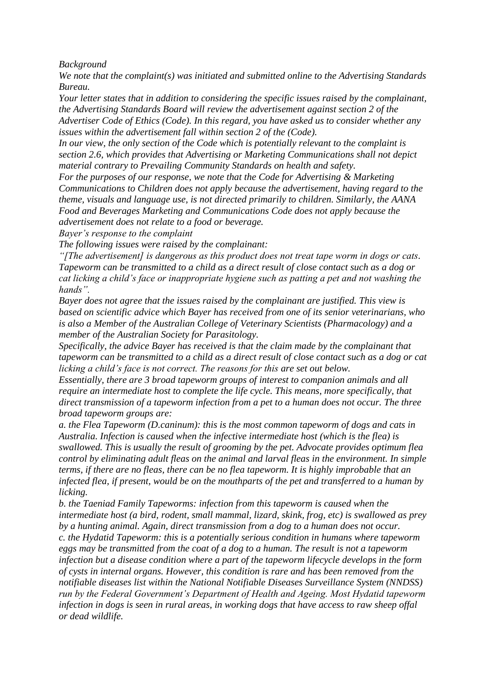*Background*

*We note that the complaint(s) was initiated and submitted online to the Advertising Standards Bureau.*

*Your letter states that in addition to considering the specific issues raised by the complainant, the Advertising Standards Board will review the advertisement against section 2 of the Advertiser Code of Ethics (Code). In this regard, you have asked us to consider whether any issues within the advertisement fall within section 2 of the (Code).*

*In our view, the only section of the Code which is potentially relevant to the complaint is section 2.6, which provides that Advertising or Marketing Communications shall not depict material contrary to Prevailing Community Standards on health and safety.*

*For the purposes of our response, we note that the Code for Advertising & Marketing Communications to Children does not apply because the advertisement, having regard to the theme, visuals and language use, is not directed primarily to children. Similarly, the AANA Food and Beverages Marketing and Communications Code does not apply because the advertisement does not relate to a food or beverage.*

*Bayer's response to the complaint*

*The following issues were raised by the complainant:*

*"[The advertisement] is dangerous as this product does not treat tape worm in dogs or cats. Tapeworm can be transmitted to a child as a direct result of close contact such as a dog or cat licking a child's face or inappropriate hygiene such as patting a pet and not washing the hands".*

*Bayer does not agree that the issues raised by the complainant are justified. This view is based on scientific advice which Bayer has received from one of its senior veterinarians, who is also a Member of the Australian College of Veterinary Scientists (Pharmacology) and a member of the Australian Society for Parasitology.*

*Specifically, the advice Bayer has received is that the claim made by the complainant that tapeworm can be transmitted to a child as a direct result of close contact such as a dog or cat licking a child's face is not correct. The reasons for this are set out below.*

*Essentially, there are 3 broad tapeworm groups of interest to companion animals and all require an intermediate host to complete the life cycle. This means, more specifically, that direct transmission of a tapeworm infection from a pet to a human does not occur. The three broad tapeworm groups are:*

*a. the Flea Tapeworm (D.caninum): this is the most common tapeworm of dogs and cats in Australia. Infection is caused when the infective intermediate host (which is the flea) is swallowed. This is usually the result of grooming by the pet. Advocate provides optimum flea control by eliminating adult fleas on the animal and larval fleas in the environment. In simple terms, if there are no fleas, there can be no flea tapeworm. It is highly improbable that an infected flea, if present, would be on the mouthparts of the pet and transferred to a human by licking.*

*b. the Taeniad Family Tapeworms: infection from this tapeworm is caused when the intermediate host (a bird, rodent, small mammal, lizard, skink, frog, etc) is swallowed as prey by a hunting animal. Again, direct transmission from a dog to a human does not occur. c. the Hydatid Tapeworm: this is a potentially serious condition in humans where tapeworm eggs may be transmitted from the coat of a dog to a human. The result is not a tapeworm infection but a disease condition where a part of the tapeworm lifecycle develops in the form of cysts in internal organs. However, this condition is rare and has been removed from the notifiable diseases list within the National Notifiable Diseases Surveillance System (NNDSS) run by the Federal Government's Department of Health and Ageing. Most Hydatid tapeworm infection in dogs is seen in rural areas, in working dogs that have access to raw sheep offal or dead wildlife.*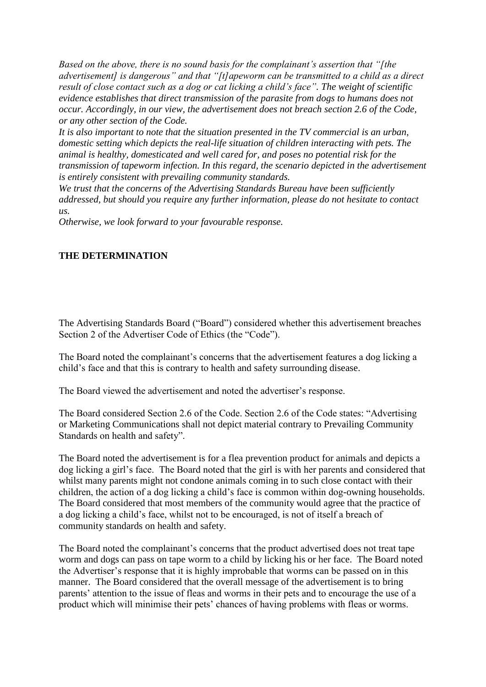*Based on the above, there is no sound basis for the complainant's assertion that "[the advertisement] is dangerous" and that "[t]apeworm can be transmitted to a child as a direct result of close contact such as a dog or cat licking a child's face". The weight of scientific evidence establishes that direct transmission of the parasite from dogs to humans does not occur. Accordingly, in our view, the advertisement does not breach section 2.6 of the Code, or any other section of the Code.*

*It is also important to note that the situation presented in the TV commercial is an urban, domestic setting which depicts the real-life situation of children interacting with pets. The animal is healthy, domesticated and well cared for, and poses no potential risk for the transmission of tapeworm infection. In this regard, the scenario depicted in the advertisement is entirely consistent with prevailing community standards.*

*We trust that the concerns of the Advertising Standards Bureau have been sufficiently addressed, but should you require any further information, please do not hesitate to contact us.*

*Otherwise, we look forward to your favourable response.*

## **THE DETERMINATION**

The Advertising Standards Board ("Board") considered whether this advertisement breaches Section 2 of the Advertiser Code of Ethics (the "Code").

The Board noted the complainant's concerns that the advertisement features a dog licking a child's face and that this is contrary to health and safety surrounding disease.

The Board viewed the advertisement and noted the advertiser's response.

The Board considered Section 2.6 of the Code. Section 2.6 of the Code states: "Advertising or Marketing Communications shall not depict material contrary to Prevailing Community Standards on health and safety".

The Board noted the advertisement is for a flea prevention product for animals and depicts a dog licking a girl's face. The Board noted that the girl is with her parents and considered that whilst many parents might not condone animals coming in to such close contact with their children, the action of a dog licking a child's face is common within dog-owning households. The Board considered that most members of the community would agree that the practice of a dog licking a child's face, whilst not to be encouraged, is not of itself a breach of community standards on health and safety.

The Board noted the complainant's concerns that the product advertised does not treat tape worm and dogs can pass on tape worm to a child by licking his or her face. The Board noted the Advertiser's response that it is highly improbable that worms can be passed on in this manner. The Board considered that the overall message of the advertisement is to bring parents' attention to the issue of fleas and worms in their pets and to encourage the use of a product which will minimise their pets' chances of having problems with fleas or worms.